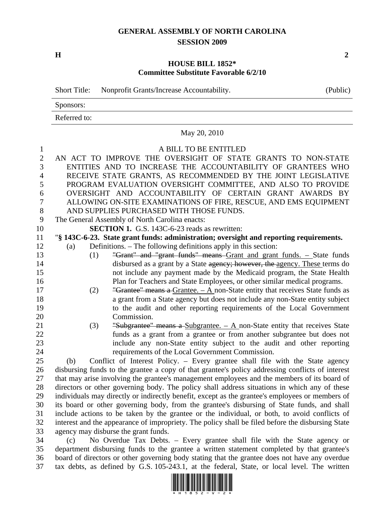## **GENERAL ASSEMBLY OF NORTH CAROLINA SESSION 2009**

**H** 2

## **HOUSE BILL 1852\* Committee Substitute Favorable 6/2/10**

|                | Nonprofit Grants/Increase Accountability.<br><b>Short Title:</b>                       | (Public) |  |  |  |
|----------------|----------------------------------------------------------------------------------------|----------|--|--|--|
|                | Sponsors:                                                                              |          |  |  |  |
|                | Referred to:                                                                           |          |  |  |  |
|                | May 20, 2010                                                                           |          |  |  |  |
| 1              | A BILL TO BE ENTITLED                                                                  |          |  |  |  |
| $\overline{2}$ | AN ACT TO IMPROVE THE OVERSIGHT OF STATE GRANTS TO NON-STATE                           |          |  |  |  |
| 3              | ENTITIES AND TO INCREASE THE ACCOUNTABILITY OF GRANTEES WHO                            |          |  |  |  |
| 4              | RECEIVE STATE GRANTS, AS RECOMMENDED BY THE JOINT LEGISLATIVE                          |          |  |  |  |
| 5              | PROGRAM EVALUATION OVERSIGHT COMMITTEE, AND ALSO TO PROVIDE                            |          |  |  |  |
| 6              | OVERSIGHT AND ACCOUNTABILITY OF CERTAIN GRANT AWARDS BY                                |          |  |  |  |
| 7              | ALLOWING ON-SITE EXAMINATIONS OF FIRE, RESCUE, AND EMS EQUIPMENT                       |          |  |  |  |
| 8              | AND SUPPLIES PURCHASED WITH THOSE FUNDS.                                               |          |  |  |  |
| 9              | The General Assembly of North Carolina enacts:                                         |          |  |  |  |
| 10             | <b>SECTION 1.</b> G.S. 143C-6-23 reads as rewritten:                                   |          |  |  |  |
| 11             | "§ 143C-6-23. State grant funds: administration; oversight and reporting requirements. |          |  |  |  |
| 12             | Definitions. – The following definitions apply in this section:<br>(a)                 |          |  |  |  |
| 13             | "Grant" and "grant funds" means Grant and grant funds. - State funds<br>(1)            |          |  |  |  |
| 14             | disbursed as a grant by a State agency; however, the agency. These terms do            |          |  |  |  |
| 15             | not include any payment made by the Medicaid program, the State Health                 |          |  |  |  |
| 16             | Plan for Teachers and State Employees, or other similar medical programs.              |          |  |  |  |
| 17             | "Grantee" means a Grantee. $- A$ non-State entity that receives State funds as<br>(2)  |          |  |  |  |
|                |                                                                                        |          |  |  |  |

- 18 a grant from a State agency but does not include any non-State entity subject 19 to the audit and other reporting requirements of the Local Government 20 Commission.
- 21 (3) "Subgrantee" means a Subgrantee. A non-State entity that receives State 22 funds as a grant from a grantee or from another subgrantee but does not 23 include any non-State entity subject to the audit and other reporting 24 requirements of the Local Government Commission.

25 (b) Conflict of Interest Policy. – Every grantee shall file with the State agency 26 disbursing funds to the grantee a copy of that grantee's policy addressing conflicts of interest 27 that may arise involving the grantee's management employees and the members of its board of 28 directors or other governing body. The policy shall address situations in which any of these 29 individuals may directly or indirectly benefit, except as the grantee's employees or members of 30 its board or other governing body, from the grantee's disbursing of State funds, and shall 31 include actions to be taken by the grantee or the individual, or both, to avoid conflicts of 32 interest and the appearance of impropriety. The policy shall be filed before the disbursing State 33 agency may disburse the grant funds.

34 (c) No Overdue Tax Debts. – Every grantee shall file with the State agency or 35 department disbursing funds to the grantee a written statement completed by that grantee's 36 board of directors or other governing body stating that the grantee does not have any overdue 37 tax debts, as defined by G.S. 105-243.1, at the federal, State, or local level. The written

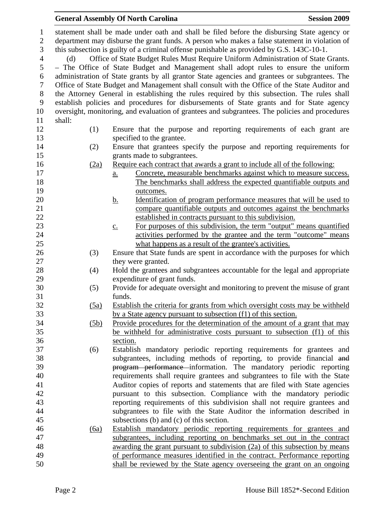|                  |                                                                                               | <b>Session 2009</b><br><b>General Assembly Of North Carolina</b>                               |  |  |
|------------------|-----------------------------------------------------------------------------------------------|------------------------------------------------------------------------------------------------|--|--|
| $\mathbf{1}$     | statement shall be made under oath and shall be filed before the disbursing State agency or   |                                                                                                |  |  |
| $\overline{2}$   | department may disburse the grant funds. A person who makes a false statement in violation of |                                                                                                |  |  |
| $\overline{3}$   | this subsection is guilty of a criminal offense punishable as provided by G.S. 143C-10-1.     |                                                                                                |  |  |
| $\overline{4}$   | Office of State Budget Rules Must Require Uniform Administration of State Grants.<br>(d)      |                                                                                                |  |  |
| 5                | - The Office of State Budget and Management shall adopt rules to ensure the uniform           |                                                                                                |  |  |
| 6                |                                                                                               | administration of State grants by all grantor State agencies and grantees or subgrantees. The  |  |  |
| $\boldsymbol{7}$ |                                                                                               | Office of State Budget and Management shall consult with the Office of the State Auditor and   |  |  |
| $8\,$            | the Attorney General in establishing the rules required by this subsection. The rules shall   |                                                                                                |  |  |
| 9                | establish policies and procedures for disbursements of State grants and for State agency      |                                                                                                |  |  |
| 10               |                                                                                               | oversight, monitoring, and evaluation of grantees and subgrantees. The policies and procedures |  |  |
| 11               | shall:                                                                                        |                                                                                                |  |  |
| 12               | (1)                                                                                           | Ensure that the purpose and reporting requirements of each grant are                           |  |  |
| 13               |                                                                                               | specified to the grantee.                                                                      |  |  |
| 14               | (2)                                                                                           | Ensure that grantees specify the purpose and reporting requirements for                        |  |  |
| 15               |                                                                                               | grants made to subgrantees.                                                                    |  |  |
| 16               | (2a)                                                                                          | Require each contract that awards a grant to include all of the following:                     |  |  |
| 17               |                                                                                               | Concrete, measurable benchmarks against which to measure success.<br>a.                        |  |  |
| 18               |                                                                                               | The benchmarks shall address the expected quantifiable outputs and                             |  |  |
| 19               |                                                                                               | outcomes.                                                                                      |  |  |
| 20               |                                                                                               | Identification of program performance measures that will be used to<br><u>b.</u>               |  |  |
| 21               |                                                                                               | compare quantifiable outputs and outcomes against the benchmarks                               |  |  |
| $22\,$           |                                                                                               | established in contracts pursuant to this subdivision.                                         |  |  |
| 23               |                                                                                               | For purposes of this subdivision, the term "output" means quantified<br>$\underline{c}$ .      |  |  |
| 24               |                                                                                               | activities performed by the grantee and the term "outcome" means                               |  |  |
| 25               |                                                                                               | what happens as a result of the grantee's activities.                                          |  |  |
| 26               | (3)                                                                                           | Ensure that State funds are spent in accordance with the purposes for which                    |  |  |
| 27               |                                                                                               | they were granted.                                                                             |  |  |
| 28               | (4)                                                                                           | Hold the grantees and subgrantees accountable for the legal and appropriate                    |  |  |
| 29               |                                                                                               | expenditure of grant funds.                                                                    |  |  |
| 30               | (5)                                                                                           | Provide for adequate oversight and monitoring to prevent the misuse of grant                   |  |  |
| 31               |                                                                                               | funds.                                                                                         |  |  |
| 32               | (5a)                                                                                          | Establish the criteria for grants from which oversight costs may be withheld                   |  |  |
| 33               |                                                                                               | by a State agency pursuant to subsection (f1) of this section.                                 |  |  |
| 34               | (5b)                                                                                          | Provide procedures for the determination of the amount of a grant that may                     |  |  |
| 35               |                                                                                               | be withheld for administrative costs pursuant to subsection (f1) of this                       |  |  |
| 36               |                                                                                               | section.                                                                                       |  |  |
| 37               | (6)                                                                                           | Establish mandatory periodic reporting requirements for grantees and                           |  |  |
| 38               |                                                                                               | subgrantees, including methods of reporting, to provide financial and                          |  |  |
| 39               |                                                                                               | program performance information. The mandatory periodic reporting                              |  |  |
| 40               |                                                                                               | requirements shall require grantees and subgrantees to file with the State                     |  |  |
| 41               |                                                                                               | Auditor copies of reports and statements that are filed with State agencies                    |  |  |
| 42               |                                                                                               | pursuant to this subsection. Compliance with the mandatory periodic                            |  |  |
| 43               |                                                                                               | reporting requirements of this subdivision shall not require grantees and                      |  |  |
| 44               |                                                                                               | subgrantees to file with the State Auditor the information described in                        |  |  |
| 45               |                                                                                               | subsections (b) and (c) of this section.                                                       |  |  |
| 46               | (6a)                                                                                          | Establish mandatory periodic reporting requirements for grantees and                           |  |  |
| 47               |                                                                                               | subgrantees, including reporting on benchmarks set out in the contract                         |  |  |
| 48               |                                                                                               | awarding the grant pursuant to subdivision (2a) of this subsection by means                    |  |  |
| 49               |                                                                                               | of performance measures identified in the contract. Performance reporting                      |  |  |
| 50               |                                                                                               | shall be reviewed by the State agency overseeing the grant on an ongoing                       |  |  |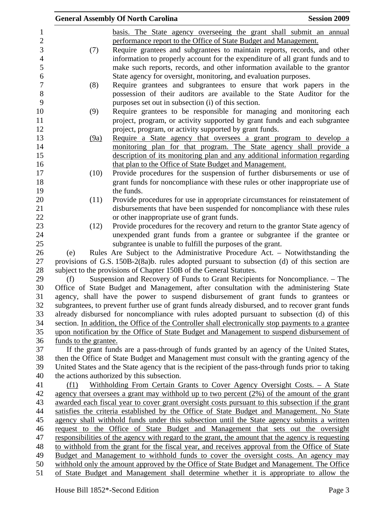|                                                                                                | <b>General Assembly Of North Carolina</b>                                                                                                                                              | <b>Session 2009</b> |
|------------------------------------------------------------------------------------------------|----------------------------------------------------------------------------------------------------------------------------------------------------------------------------------------|---------------------|
|                                                                                                | basis. The State agency overseeing the grant shall submit an annual                                                                                                                    |                     |
|                                                                                                | performance report to the Office of State Budget and Management.                                                                                                                       |                     |
| (7)                                                                                            | Require grantees and subgrantees to maintain reports, records, and other                                                                                                               |                     |
|                                                                                                | information to properly account for the expenditure of all grant funds and to                                                                                                          |                     |
|                                                                                                | make such reports, records, and other information available to the grantor                                                                                                             |                     |
|                                                                                                | State agency for oversight, monitoring, and evaluation purposes.                                                                                                                       |                     |
| (8)                                                                                            | Require grantees and subgrantees to ensure that work papers in the                                                                                                                     |                     |
|                                                                                                | possession of their auditors are available to the State Auditor for the                                                                                                                |                     |
|                                                                                                | purposes set out in subsection (i) of this section.                                                                                                                                    |                     |
| (9)                                                                                            | Require grantees to be responsible for managing and monitoring each                                                                                                                    |                     |
|                                                                                                | project, program, or activity supported by grant funds and each subgrantee                                                                                                             |                     |
|                                                                                                | project, program, or activity supported by grant funds.                                                                                                                                |                     |
| (9a)                                                                                           | Require a State agency that oversees a grant program to develop a                                                                                                                      |                     |
|                                                                                                | monitoring plan for that program. The State agency shall provide a                                                                                                                     |                     |
|                                                                                                | description of its monitoring plan and any additional information regarding                                                                                                            |                     |
|                                                                                                | that plan to the Office of State Budget and Management.                                                                                                                                |                     |
| (10)                                                                                           | Provide procedures for the suspension of further disbursements or use of                                                                                                               |                     |
|                                                                                                | grant funds for noncompliance with these rules or other inappropriate use of                                                                                                           |                     |
|                                                                                                | the funds.                                                                                                                                                                             |                     |
| (11)                                                                                           | Provide procedures for use in appropriate circumstances for reinstatement of                                                                                                           |                     |
|                                                                                                | disbursements that have been suspended for noncompliance with these rules                                                                                                              |                     |
|                                                                                                | or other inappropriate use of grant funds.                                                                                                                                             |                     |
| (12)                                                                                           | Provide procedures for the recovery and return to the grantor State agency of                                                                                                          |                     |
|                                                                                                | unexpended grant funds from a grantee or subgrantee if the grantee or                                                                                                                  |                     |
|                                                                                                | subgrantee is unable to fulfill the purposes of the grant.                                                                                                                             |                     |
| (e)                                                                                            | Rules Are Subject to the Administrative Procedure Act. – Notwithstanding the                                                                                                           |                     |
|                                                                                                | provisions of G.S. 150B-2(8a)b. rules adopted pursuant to subsection (d) of this section are                                                                                           |                     |
|                                                                                                | subject to the provisions of Chapter 150B of the General Statutes.                                                                                                                     |                     |
| (f)                                                                                            | Suspension and Recovery of Funds to Grant Recipients for Noncompliance. – The                                                                                                          |                     |
|                                                                                                | Office of State Budget and Management, after consultation with the administering State                                                                                                 |                     |
|                                                                                                | agency, shall have the power to suspend disbursement of grant funds to grantees or<br>subgrantees, to prevent further use of grant funds already disbursed, and to recover grant funds |                     |
|                                                                                                | already disbursed for noncompliance with rules adopted pursuant to subsection (d) of this                                                                                              |                     |
|                                                                                                | section. In addition, the Office of the Controller shall electronically stop payments to a grantee                                                                                     |                     |
|                                                                                                | upon notification by the Office of State Budget and Management to suspend disbursement of                                                                                              |                     |
| funds to the grantee.                                                                          |                                                                                                                                                                                        |                     |
|                                                                                                | If the grant funds are a pass-through of funds granted by an agency of the United States,                                                                                              |                     |
|                                                                                                | then the Office of State Budget and Management must consult with the granting agency of the                                                                                            |                     |
|                                                                                                | United States and the State agency that is the recipient of the pass-through funds prior to taking                                                                                     |                     |
|                                                                                                | the actions authorized by this subsection.                                                                                                                                             |                     |
| (f1)                                                                                           | Withholding From Certain Grants to Cover Agency Oversight Costs. - A State                                                                                                             |                     |
|                                                                                                | agency that oversees a grant may withhold up to two percent $(2%)$ of the amount of the grant                                                                                          |                     |
|                                                                                                | awarded each fiscal year to cover grant oversight costs pursuant to this subsection if the grant                                                                                       |                     |
| satisfies the criteria established by the Office of State Budget and Management. No State      |                                                                                                                                                                                        |                     |
|                                                                                                | agency shall withhold funds under this subsection until the State agency submits a written                                                                                             |                     |
| request to the Office of State Budget and Management that sets out the oversight               |                                                                                                                                                                                        |                     |
|                                                                                                | responsibilities of the agency with regard to the grant, the amount that the agency is requesting                                                                                      |                     |
| to withhold from the grant for the fiscal year, and receives approval from the Office of State |                                                                                                                                                                                        |                     |
|                                                                                                | Budget and Management to withhold funds to cover the oversight costs. An agency may                                                                                                    |                     |
|                                                                                                | withhold only the amount approved by the Office of State Budget and Management. The Office                                                                                             |                     |
|                                                                                                | of State Budget and Management shall determine whether it is appropriate to allow the                                                                                                  |                     |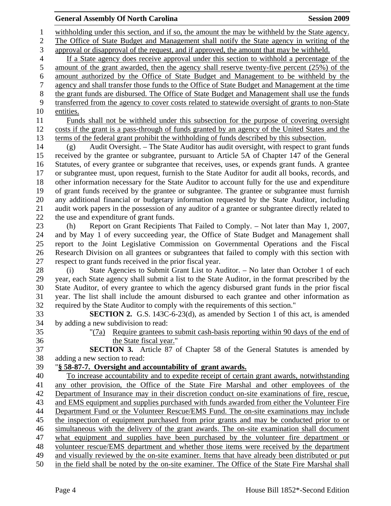## **General Assembly Of North Carolina Session 2009 Session 2009**

1 withholding under this section, and if so, the amount the may be withheld by the State agency. 2 The Office of State Budget and Management shall notify the State agency in writing of the 3 approval or disapproval of the request, and if approved, the amount that may be withheld. 4 If a State agency does receive approval under this section to withhold a percentage of the 5 amount of the grant awarded, then the agency shall reserve twenty-five percent (25%) of the 6 amount authorized by the Office of State Budget and Management to be withheld by the 7 agency and shall transfer those funds to the Office of State Budget and Management at the time 8 the grant funds are disbursed. The Office of State Budget and Management shall use the funds 9 transferred from the agency to cover costs related to statewide oversight of grants to non-State 10 entities. 11 Funds shall not be withheld under this subsection for the purpose of covering oversight 12 costs if the grant is a pass-through of funds granted by an agency of the United States and the 13 terms of the federal grant prohibit the withholding of funds described by this subsection. 14 (g) Audit Oversight. – The State Auditor has audit oversight, with respect to grant funds 15 received by the grantee or subgrantee, pursuant to Article 5A of Chapter 147 of the General 16 Statutes, of every grantee or subgrantee that receives, uses, or expends grant funds. A grantee 17 or subgrantee must, upon request, furnish to the State Auditor for audit all books, records, and 18 other information necessary for the State Auditor to account fully for the use and expenditure 19 of grant funds received by the grantee or subgrantee. The grantee or subgrantee must furnish 20 any additional financial or budgetary information requested by the State Auditor, including 21 audit work papers in the possession of any auditor of a grantee or subgrantee directly related to 22 the use and expenditure of grant funds. 23 (h) Report on Grant Recipients That Failed to Comply. – Not later than May 1, 2007, 24 and by May 1 of every succeeding year, the Office of State Budget and Management shall 25 report to the Joint Legislative Commission on Governmental Operations and the Fiscal 26 Research Division on all grantees or subgrantees that failed to comply with this section with 27 respect to grant funds received in the prior fiscal year. 28 (i) State Agencies to Submit Grant List to Auditor. – No later than October 1 of each 29 year, each State agency shall submit a list to the State Auditor, in the format prescribed by the 30 State Auditor, of every grantee to which the agency disbursed grant funds in the prior fiscal 31 year. The list shall include the amount disbursed to each grantee and other information as 32 required by the State Auditor to comply with the requirements of this section." 33 **SECTION 2.** G.S. 143C-6-23(d), as amended by Section 1 of this act, is amended 34 by adding a new subdivision to read: 35 "(7a) Require grantees to submit cash-basis reporting within 90 days of the end of 36 the State fiscal year." 37 **SECTION 3.** Article 87 of Chapter 58 of the General Statutes is amended by 38 adding a new section to read: 39 "**§ 58-87-7. Oversight and accountability of grant awards.** 40 To increase accountability and to expedite receipt of certain grant awards, notwithstanding 41 any other provision, the Office of the State Fire Marshal and other employees of the 42 Department of Insurance may in their discretion conduct on-site examinations of fire, rescue, 43 and EMS equipment and supplies purchased with funds awarded from either the Volunteer Fire 44 Department Fund or the Volunteer Rescue/EMS Fund. The on-site examinations may include 45 the inspection of equipment purchased from prior grants and may be conducted prior to or 46 simultaneous with the delivery of the grant awards. The on-site examination shall document 47 what equipment and supplies have been purchased by the volunteer fire department or 48 volunteer rescue/EMS department and whether those items were received by the department 49 and visually reviewed by the on-site examiner. Items that have already been distributed or put 50 in the field shall be noted by the on-site examiner. The Office of the State Fire Marshal shall